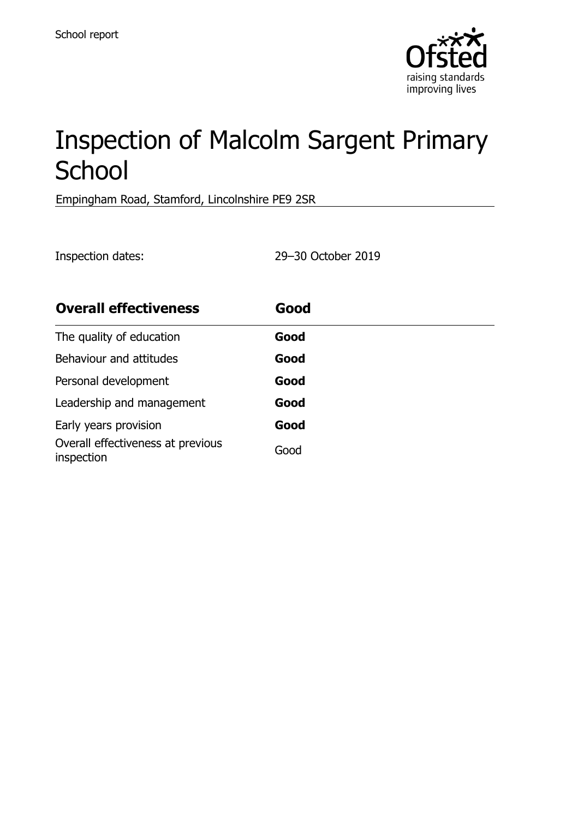

# Inspection of Malcolm Sargent Primary **School**

Empingham Road, Stamford, Lincolnshire PE9 2SR

Inspection dates: 29–30 October 2019

| <b>Overall effectiveness</b>                    | Good |
|-------------------------------------------------|------|
| The quality of education                        | Good |
| Behaviour and attitudes                         | Good |
| Personal development                            | Good |
| Leadership and management                       | Good |
| Early years provision                           | Good |
| Overall effectiveness at previous<br>inspection | Good |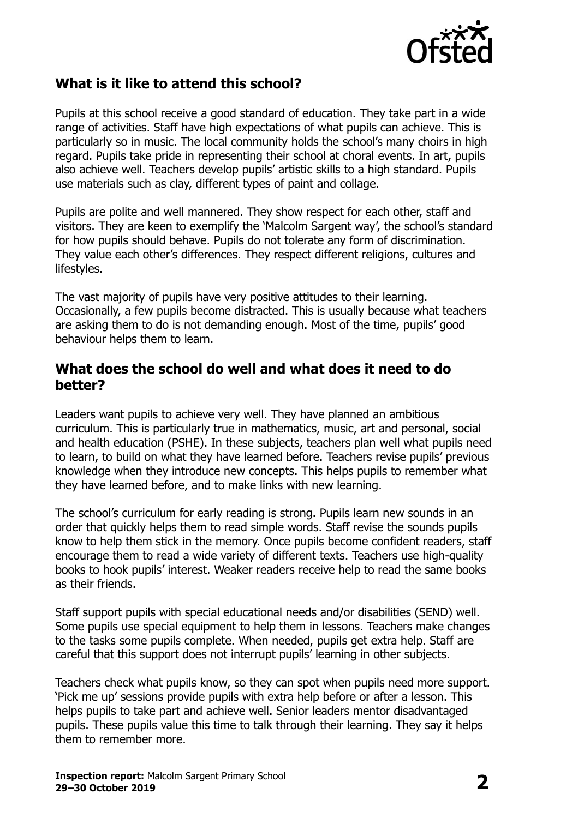

## **What is it like to attend this school?**

Pupils at this school receive a good standard of education. They take part in a wide range of activities. Staff have high expectations of what pupils can achieve. This is particularly so in music. The local community holds the school's many choirs in high regard. Pupils take pride in representing their school at choral events. In art, pupils also achieve well. Teachers develop pupils' artistic skills to a high standard. Pupils use materials such as clay, different types of paint and collage.

Pupils are polite and well mannered. They show respect for each other, staff and visitors. They are keen to exemplify the 'Malcolm Sargent way', the school's standard for how pupils should behave. Pupils do not tolerate any form of discrimination. They value each other's differences. They respect different religions, cultures and lifestyles.

The vast majority of pupils have very positive attitudes to their learning. Occasionally, a few pupils become distracted. This is usually because what teachers are asking them to do is not demanding enough. Most of the time, pupils' good behaviour helps them to learn.

#### **What does the school do well and what does it need to do better?**

Leaders want pupils to achieve very well. They have planned an ambitious curriculum. This is particularly true in mathematics, music, art and personal, social and health education (PSHE). In these subjects, teachers plan well what pupils need to learn, to build on what they have learned before. Teachers revise pupils' previous knowledge when they introduce new concepts. This helps pupils to remember what they have learned before, and to make links with new learning.

The school's curriculum for early reading is strong. Pupils learn new sounds in an order that quickly helps them to read simple words. Staff revise the sounds pupils know to help them stick in the memory. Once pupils become confident readers, staff encourage them to read a wide variety of different texts. Teachers use high-quality books to hook pupils' interest. Weaker readers receive help to read the same books as their friends.

Staff support pupils with special educational needs and/or disabilities (SEND) well. Some pupils use special equipment to help them in lessons. Teachers make changes to the tasks some pupils complete. When needed, pupils get extra help. Staff are careful that this support does not interrupt pupils' learning in other subjects.

Teachers check what pupils know, so they can spot when pupils need more support. 'Pick me up' sessions provide pupils with extra help before or after a lesson. This helps pupils to take part and achieve well. Senior leaders mentor disadvantaged pupils. These pupils value this time to talk through their learning. They say it helps them to remember more.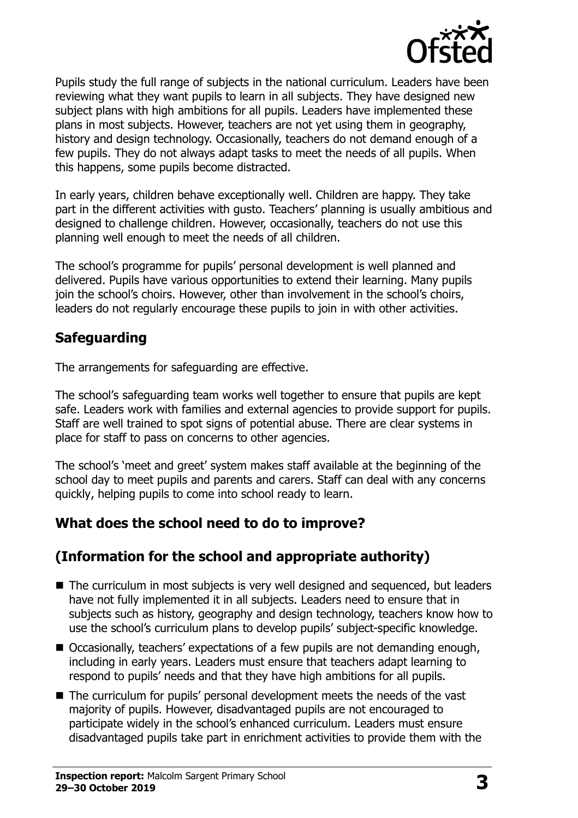

Pupils study the full range of subjects in the national curriculum. Leaders have been reviewing what they want pupils to learn in all subjects. They have designed new subject plans with high ambitions for all pupils. Leaders have implemented these plans in most subjects. However, teachers are not yet using them in geography, history and design technology. Occasionally, teachers do not demand enough of a few pupils. They do not always adapt tasks to meet the needs of all pupils. When this happens, some pupils become distracted.

In early years, children behave exceptionally well. Children are happy. They take part in the different activities with gusto. Teachers' planning is usually ambitious and designed to challenge children. However, occasionally, teachers do not use this planning well enough to meet the needs of all children.

The school's programme for pupils' personal development is well planned and delivered. Pupils have various opportunities to extend their learning. Many pupils join the school's choirs. However, other than involvement in the school's choirs, leaders do not regularly encourage these pupils to join in with other activities.

## **Safeguarding**

The arrangements for safeguarding are effective.

The school's safeguarding team works well together to ensure that pupils are kept safe. Leaders work with families and external agencies to provide support for pupils. Staff are well trained to spot signs of potential abuse. There are clear systems in place for staff to pass on concerns to other agencies.

The school's 'meet and greet' system makes staff available at the beginning of the school day to meet pupils and parents and carers. Staff can deal with any concerns quickly, helping pupils to come into school ready to learn.

# **What does the school need to do to improve?**

# **(Information for the school and appropriate authority)**

- The curriculum in most subjects is very well designed and sequenced, but leaders have not fully implemented it in all subjects. Leaders need to ensure that in subjects such as history, geography and design technology, teachers know how to use the school's curriculum plans to develop pupils' subject-specific knowledge.
- Occasionally, teachers' expectations of a few pupils are not demanding enough, including in early years. Leaders must ensure that teachers adapt learning to respond to pupils' needs and that they have high ambitions for all pupils.
- The curriculum for pupils' personal development meets the needs of the vast majority of pupils. However, disadvantaged pupils are not encouraged to participate widely in the school's enhanced curriculum. Leaders must ensure disadvantaged pupils take part in enrichment activities to provide them with the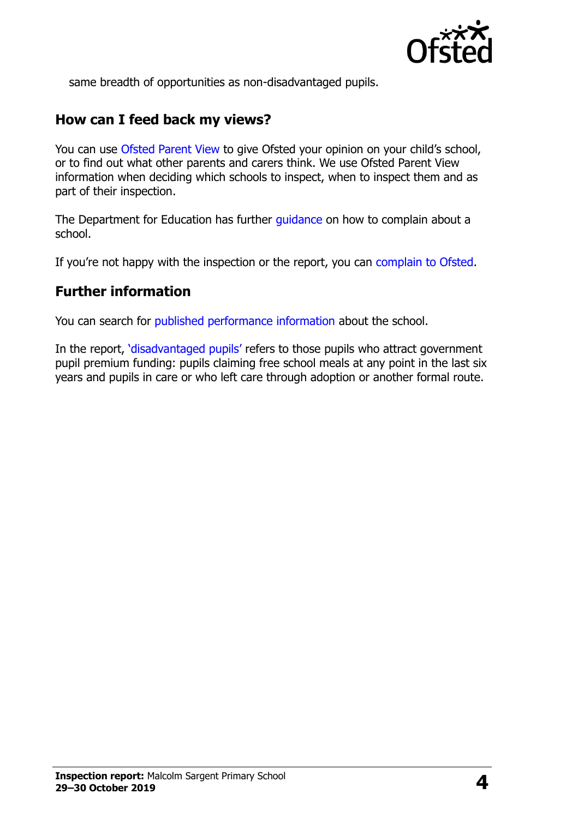

same breadth of opportunities as non-disadvantaged pupils.

#### **How can I feed back my views?**

You can use [Ofsted Parent View](http://parentview.ofsted.gov.uk/) to give Ofsted your opinion on your child's school, or to find out what other parents and carers think. We use Ofsted Parent View information when deciding which schools to inspect, when to inspect them and as part of their inspection.

The Department for Education has further quidance on how to complain about a school.

If you're not happy with the inspection or the report, you can [complain to Ofsted.](http://www.gov.uk/complain-ofsted-report)

#### **Further information**

You can search for [published performance information](http://www.compare-school-performance.service.gov.uk/) about the school.

In the report, '[disadvantaged pupils](http://www.gov.uk/guidance/pupil-premium-information-for-schools-and-alternative-provision-settings)' refers to those pupils who attract government pupil premium funding: pupils claiming free school meals at any point in the last six years and pupils in care or who left care through adoption or another formal route.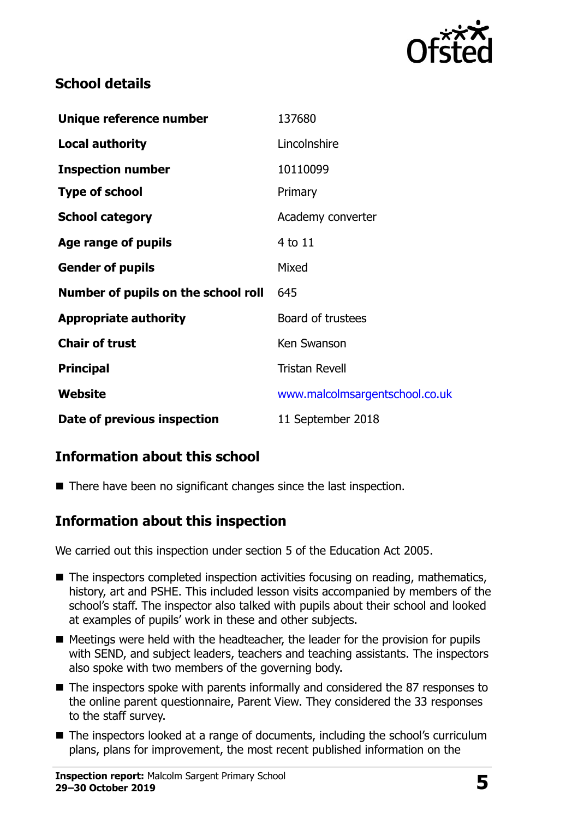

## **School details**

| Unique reference number             | 137680                         |
|-------------------------------------|--------------------------------|
| <b>Local authority</b>              | Lincolnshire                   |
| <b>Inspection number</b>            | 10110099                       |
| <b>Type of school</b>               | Primary                        |
| <b>School category</b>              | Academy converter              |
| Age range of pupils                 | 4 to 11                        |
| <b>Gender of pupils</b>             | Mixed                          |
| Number of pupils on the school roll | 645                            |
| <b>Appropriate authority</b>        | Board of trustees              |
| <b>Chair of trust</b>               | Ken Swanson                    |
| <b>Principal</b>                    | <b>Tristan Revell</b>          |
| Website                             | www.malcolmsargentschool.co.uk |
| Date of previous inspection         | 11 September 2018              |

# **Information about this school**

■ There have been no significant changes since the last inspection.

## **Information about this inspection**

We carried out this inspection under section 5 of the Education Act 2005.

- $\blacksquare$  The inspectors completed inspection activities focusing on reading, mathematics, history, art and PSHE. This included lesson visits accompanied by members of the school's staff. The inspector also talked with pupils about their school and looked at examples of pupils' work in these and other subjects.
- $\blacksquare$  Meetings were held with the headteacher, the leader for the provision for pupils with SEND, and subject leaders, teachers and teaching assistants. The inspectors also spoke with two members of the governing body.
- The inspectors spoke with parents informally and considered the 87 responses to the online parent questionnaire, Parent View. They considered the 33 responses to the staff survey.
- The inspectors looked at a range of documents, including the school's curriculum plans, plans for improvement, the most recent published information on the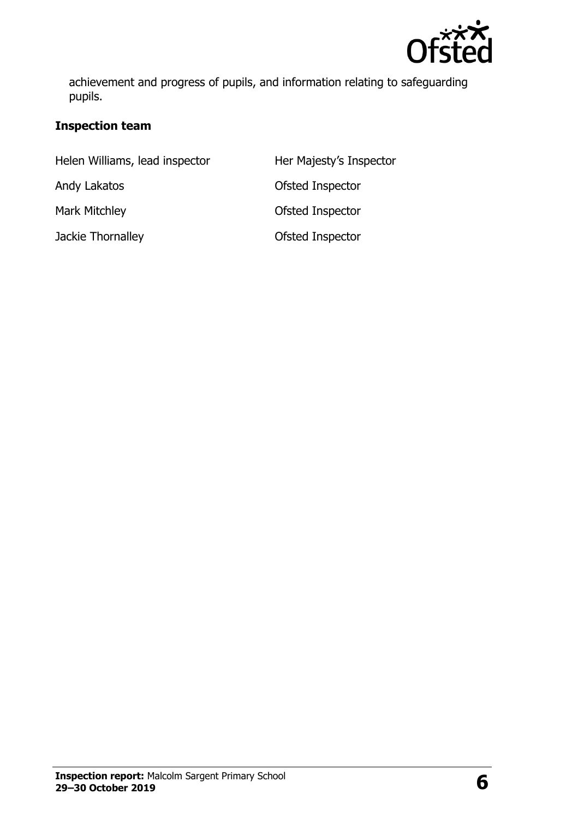

achievement and progress of pupils, and information relating to safeguarding pupils.

#### **Inspection team**

| Helen Williams, lead inspector | Her Majesty's Inspector |
|--------------------------------|-------------------------|
| Andy Lakatos                   | Ofsted Inspector        |
| <b>Mark Mitchley</b>           | Ofsted Inspector        |
| Jackie Thornalley              | Ofsted Inspector        |